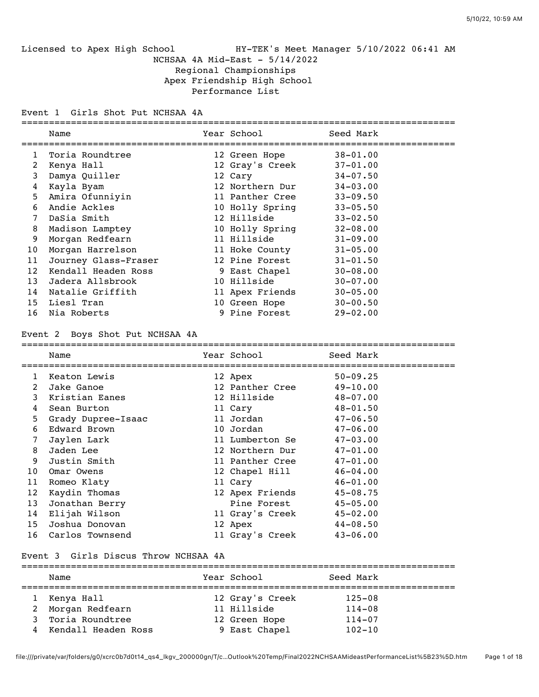Licensed to Apex High School HY-TEK's Meet Manager 5/10/2022 06:41 AM NCHSAA 4A Mid-East - 5/14/2022 Regional Championships Apex Friendship High School Performance List

Event 1 Girls Shot Put NCHSAA 4A

|    | Name                 | Year School     | Seed Mark    |
|----|----------------------|-----------------|--------------|
|    | Toria Roundtree      | 12 Green Hope   | $38 - 01.00$ |
| 2  | Kenya Hall           | 12 Gray's Creek | $37 - 01.00$ |
| 3  | Damya Quiller        | 12 Cary         | $34 - 07.50$ |
| 4  | Kayla Byam           | 12 Northern Dur | $34 - 03.00$ |
| 5. | Amira Ofunniyin      | 11 Panther Cree | $33 - 09.50$ |
| 6  | Andie Ackles         | 10 Holly Spring | $33 - 05.50$ |
|    | DaSia Smith          | 12 Hillside     | $33 - 02.50$ |
| 8  | Madison Lamptey      | 10 Holly Spring | $32 - 08.00$ |
| 9  | Morgan Redfearn      | 11 Hillside     | $31 - 09.00$ |
| 10 | Morgan Harrelson     | 11 Hoke County  | $31 - 05.00$ |
| 11 | Journey Glass-Fraser | 12 Pine Forest  | $31 - 01.50$ |
| 12 | Kendall Headen Ross  | 9 East Chapel   | $30 - 08.00$ |
| 13 | Jadera Allsbrook     | 10 Hillside     | $30 - 07.00$ |
| 14 | Natalie Griffith     | 11 Apex Friends | $30 - 05.00$ |
| 15 | Liesl Tran           | 10 Green Hope   | $30 - 00.50$ |
| 16 | Nia Roberts          | 9 Pine Forest   | $29 - 02.00$ |

#### Event 2 Boys Shot Put NCHSAA 4A

===============================================================================

|    | Name               | Year School     | Seed Mark    |
|----|--------------------|-----------------|--------------|
| 1  | Keaton Lewis       | 12 Apex         | $50 - 09.25$ |
| 2  | Jake Ganoe         | 12 Panther Cree | $49 - 10.00$ |
| 3  | Kristian Eanes     | 12 Hillside     | $48 - 07.00$ |
| 4  | Sean Burton        | 11 Cary         | $48 - 01.50$ |
| 5  | Grady Dupree-Isaac | 11 Jordan       | $47 - 06.50$ |
| 6  | Edward Brown       | 10 Jordan       | $47 - 06.00$ |
| 7  | Jaylen Lark        | 11 Lumberton Se | $47 - 03.00$ |
| 8  | Jaden Lee          | 12 Northern Dur | $47 - 01.00$ |
| 9  | Justin Smith       | 11 Panther Cree | $47 - 01.00$ |
| 10 | Omar Owens         | 12 Chapel Hill  | $46 - 04.00$ |
| 11 | Romeo Klaty        | 11 Cary         | $46 - 01.00$ |
| 12 | Kaydin Thomas      | 12 Apex Friends | $45 - 08.75$ |
| 13 | Jonathan Berry     | Pine Forest     | $45 - 05.00$ |
| 14 | Elijah Wilson      | 11 Gray's Creek | $45 - 02.00$ |
| 15 | Joshua Donovan     | 12 Apex         | $44 - 08.50$ |
|    | 16 Carlos Townsend | 11 Gray's Creek | $43 - 06.00$ |

#### Event 3 Girls Discus Throw NCHSAA 4A

|   | Name                | Year School     | Seed Mark  |  |
|---|---------------------|-----------------|------------|--|
|   | Kenya Hall          | 12 Gray's Creek | $125 - 08$ |  |
| 2 | Morgan Redfearn     | 11 Hillside     | $114 - 08$ |  |
| 3 | Toria Roundtree     | 12 Green Hope   | $114 - 07$ |  |
| 4 | Kendall Headen Ross | 9 East Chapel   | $102 - 10$ |  |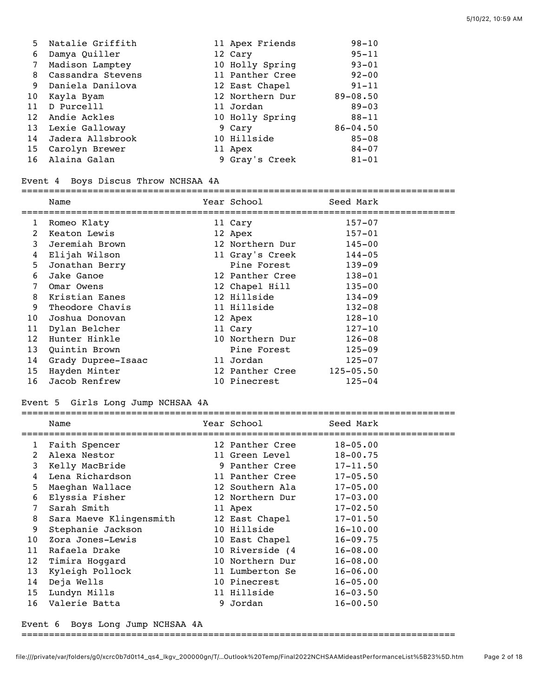| 5  | Natalie Griffith  | 11 Apex Friends | $98 - 10$    |
|----|-------------------|-----------------|--------------|
| 6  | Damya Quiller     | 12 Cary         | $95 - 11$    |
| 7  | Madison Lamptey   | 10 Holly Spring | $93 - 01$    |
| 8  | Cassandra Stevens | 11 Panther Cree | $92 - 00$    |
| 9  | Daniela Danilova  | 12 East Chapel  | $91 - 11$    |
| 10 | Kayla Byam        | 12 Northern Dur | $89 - 08.50$ |
| 11 | D Purcelll        | 11 Jordan       | $89 - 03$    |
| 12 | Andie Ackles      | 10 Holly Spring | $88 - 11$    |
| 13 | Lexie Galloway    | 9 Cary          | $86 - 04.50$ |
| 14 | Jadera Allsbrook  | 10 Hillside     | $85 - 08$    |
|    | 15 Carolyn Brewer | 11 Apex         | $84 - 07$    |
|    | 16 Alaina Galan   | 9 Gray's Creek  | $81 - 01$    |

#### Event 4 Boys Discus Throw NCHSAA 4A

#### ===============================================================================

|                | Name               | Year School     | Seed Mark     |
|----------------|--------------------|-----------------|---------------|
| 1              | Romeo Klaty        | 11 Cary         | $157 - 07$    |
| $\overline{2}$ | Keaton Lewis       | 12 Apex         | $157 - 01$    |
| 3              | Jeremiah Brown     | 12 Northern Dur | $145 - 00$    |
| 4              | Elijah Wilson      | 11 Gray's Creek | $144 - 05$    |
| 5              | Jonathan Berry     | Pine Forest     | $139 - 09$    |
| 6              | Jake Ganoe         | 12 Panther Cree | $138 - 01$    |
| 7              | Omar Owens         | 12 Chapel Hill  | $135 - 00$    |
| 8              | Kristian Eanes     | 12 Hillside     | $134 - 09$    |
| 9              | Theodore Chavis    | 11 Hillside     | $132 - 08$    |
| 10             | Joshua Donovan     | 12 Apex         | $128 - 10$    |
| 11             | Dylan Belcher      | 11 Cary         | $127 - 10$    |
| 12             | Hunter Hinkle      | 10 Northern Dur | $126 - 08$    |
| 13             | Quintin Brown      | Pine Forest     | $125 - 09$    |
| 14             | Grady Dupree-Isaac | 11 Jordan       | $125 - 07$    |
| 15             | Hayden Minter      | 12 Panther Cree | $125 - 05.50$ |
| 16             | Jacob Renfrew      | 10 Pinecrest    | $125 - 04$    |

## Event 5 Girls Long Jump NCHSAA 4A

|              | Name                    | Year School Near School | Seed Mark    |  |
|--------------|-------------------------|-------------------------|--------------|--|
| $\mathbf{1}$ | Faith Spencer           | 12 Panther Cree         | $18 - 05.00$ |  |
| 2            | Alexa Nestor            | 11 Green Level          | $18 - 00.75$ |  |
| 3            | Kelly MacBride          | 9 Panther Cree          | $17 - 11.50$ |  |
| 4            | Lena Richardson         | 11 Panther Cree         | $17 - 05.50$ |  |
| 5            | Maeghan Wallace         | 12 Southern Ala         | $17 - 05.00$ |  |
| 6            | Elyssia Fisher          | 12 Northern Dur         | $17 - 03.00$ |  |
| 7            | Sarah Smith             | 11 Apex                 | $17 - 02.50$ |  |
| 8            | Sara Maeve Klingensmith | 12 East Chapel          | $17 - 01.50$ |  |
| 9            | Stephanie Jackson       | 10 Hillside             | $16 - 10.00$ |  |
| 10           | Zora Jones-Lewis        | 10 East Chapel          | $16 - 09.75$ |  |
| 11           | Rafaela Drake           | 10 Riverside (4         | $16 - 08.00$ |  |
| 12           | Timira Hoggard          | 10 Northern Dur         | $16 - 08.00$ |  |
| 13           | Kyleigh Pollock         | 11 Lumberton Se         | $16 - 06.00$ |  |
| 14           | Deja Wells              | 10 Pinecrest            | $16 - 05.00$ |  |
| 15           | Lundyn Mills            | 11 Hillside             | $16 - 03.50$ |  |
| 16           | Valerie Batta           | 9 Jordan                | $16 - 00.50$ |  |
|              |                         |                         |              |  |

Event 6 Boys Long Jump NCHSAA 4A

===============================================================================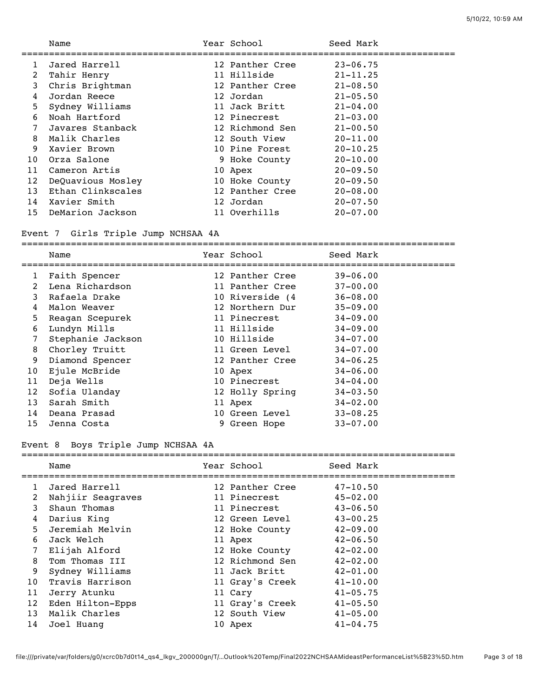| Name              |                                  | Seed Mark                                                                                                                                                                                                                                                          |  |
|-------------------|----------------------------------|--------------------------------------------------------------------------------------------------------------------------------------------------------------------------------------------------------------------------------------------------------------------|--|
| Jared Harrell     |                                  | $23 - 06.75$                                                                                                                                                                                                                                                       |  |
| Tahir Henry       |                                  | $21 - 11.25$                                                                                                                                                                                                                                                       |  |
| Chris Brightman   |                                  | $21 - 08.50$                                                                                                                                                                                                                                                       |  |
| Jordan Reece      |                                  | $21 - 05.50$                                                                                                                                                                                                                                                       |  |
| Sydney Williams   |                                  | $21 - 04.00$                                                                                                                                                                                                                                                       |  |
| Noah Hartford     |                                  | $21 - 03.00$                                                                                                                                                                                                                                                       |  |
| Javares Stanback  |                                  | $21 - 00.50$                                                                                                                                                                                                                                                       |  |
| Malik Charles     |                                  | $20 - 11.00$                                                                                                                                                                                                                                                       |  |
| Xavier Brown      |                                  | $20 - 10.25$                                                                                                                                                                                                                                                       |  |
| Orza Salone       |                                  | $20 - 10.00$                                                                                                                                                                                                                                                       |  |
| Cameron Artis     |                                  | $20 - 09.50$                                                                                                                                                                                                                                                       |  |
| DeQuavious Mosley |                                  | $20 - 09.50$                                                                                                                                                                                                                                                       |  |
| Ethan Clinkscales |                                  | $20 - 08.00$                                                                                                                                                                                                                                                       |  |
|                   |                                  | $20 - 07.50$                                                                                                                                                                                                                                                       |  |
|                   |                                  | $20 - 07.00$                                                                                                                                                                                                                                                       |  |
| 15 <sub>1</sub>   | Xavier Smith<br>DeMarion Jackson | Year School<br>12 Panther Cree<br>11 Hillside<br>12 Panther Cree<br>12 Jordan<br>11 Jack Britt<br>12 Pinecrest<br>12 Richmond Sen<br>12 South View<br>10 Pine Forest<br>9 Hoke County<br>10 Apex<br>10 Hoke County<br>12 Panther Cree<br>12 Jordan<br>11 Overhills |  |

## Event 7 Girls Triple Jump NCHSAA 4A

===============================================================================

#### Event 8 Boys Triple Jump NCHSAA 4A

|    | Name              | Year School     | Seed Mark    |
|----|-------------------|-----------------|--------------|
| 1  | Jared Harrell     | 12 Panther Cree | $47 - 10.50$ |
| 2  | Nahjiir Seagraves | 11 Pinecrest    | $45 - 02.00$ |
| 3  | Shaun Thomas      | 11 Pinecrest    | $43 - 06.50$ |
| 4  | Darius King       | 12 Green Level  | $43 - 00.25$ |
| 5  | Jeremiah Melvin   | 12 Hoke County  | $42 - 09.00$ |
| 6  | Jack Welch        | 11 Apex         | $42 - 06.50$ |
| 7  | Elijah Alford     | 12 Hoke County  | $42 - 02.00$ |
| 8  | Tom Thomas III    | 12 Richmond Sen | $42 - 02.00$ |
| 9  | Sydney Williams   | 11 Jack Britt   | $42 - 01.00$ |
| 10 | Travis Harrison   | 11 Gray's Creek | $41 - 10.00$ |
| 11 | Jerry Atunku      | 11 Cary         | $41 - 05.75$ |
| 12 | Eden Hilton-Epps  | 11 Gray's Creek | $41 - 05.50$ |
| 13 | Malik Charles     | 12 South View   | $41 - 05.00$ |
| 14 | Joel Huang        | 10 Apex         | $41 - 04.75$ |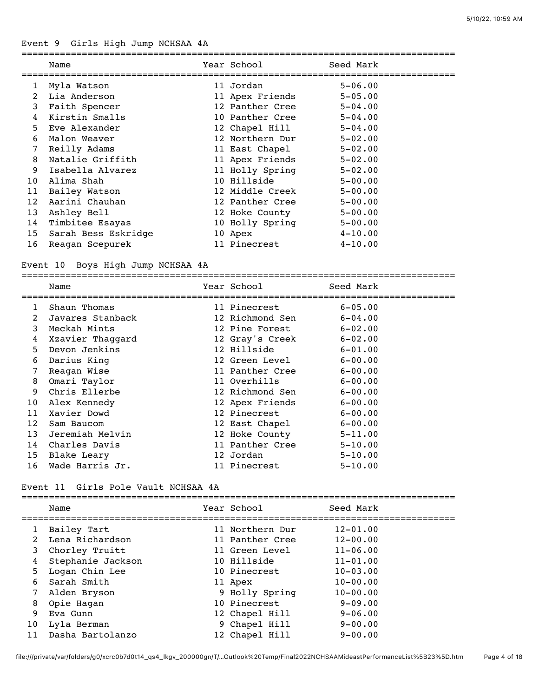# Event 9 Girls High Jump NCHSAA 4A

| Name                |  | Seed Mark                                                                                                                                                                                                                                                                                                               |
|---------------------|--|-------------------------------------------------------------------------------------------------------------------------------------------------------------------------------------------------------------------------------------------------------------------------------------------------------------------------|
| Myla Watson         |  | $5 - 06.00$                                                                                                                                                                                                                                                                                                             |
| Lia Anderson        |  | $5 - 05.00$                                                                                                                                                                                                                                                                                                             |
| Faith Spencer       |  | $5 - 04.00$                                                                                                                                                                                                                                                                                                             |
| Kirstin Smalls      |  |                                                                                                                                                                                                                                                                                                                         |
| Eve Alexander       |  | $5 - 04.00$                                                                                                                                                                                                                                                                                                             |
| Malon Weaver        |  | $5 - 02.00$                                                                                                                                                                                                                                                                                                             |
| Reilly Adams        |  | $5 - 02.00$                                                                                                                                                                                                                                                                                                             |
| Natalie Griffith    |  | $5 - 02.00$                                                                                                                                                                                                                                                                                                             |
| Isabella Alvarez    |  | $5 - 02.00$                                                                                                                                                                                                                                                                                                             |
| Alima Shah          |  | $5 - 00.00$                                                                                                                                                                                                                                                                                                             |
| Bailey Watson       |  | $5 - 00.00$                                                                                                                                                                                                                                                                                                             |
| Aarini Chauhan      |  | $5 - 00.00$                                                                                                                                                                                                                                                                                                             |
| Ashley Bell         |  | $5 - 00.00$                                                                                                                                                                                                                                                                                                             |
| Timbitee Esayas     |  | $5 - 00.00$                                                                                                                                                                                                                                                                                                             |
| Sarah Bess Eskridge |  | $4 - 10.00$                                                                                                                                                                                                                                                                                                             |
| Reagan Scepurek     |  | $4 - 10.00$                                                                                                                                                                                                                                                                                                             |
|                     |  | Year School Near School<br>11 Jordan<br>11 Apex Friends<br>12 Panther Cree<br>10 Panther Cree 5-04.00<br>12 Chapel Hill<br>12 Northern Dur<br>11 East Chapel<br>11 Apex Friends<br>11 Holly Spring<br>10 Hillside<br>12 Middle Creek<br>12 Panther Cree<br>12 Hoke County<br>10 Holly Spring<br>10 Apex<br>11 Pinecrest |

## Event 10 Boys High Jump NCHSAA 4A

|    | Name             | Year School Near School | Seed Mark   |  |
|----|------------------|-------------------------|-------------|--|
| 1  | Shaun Thomas     | 11 Pinecrest            | $6 - 05.00$ |  |
| 2  | Javares Stanback | 12 Richmond Sen         | $6 - 04.00$ |  |
| 3  | Meckah Mints     | 12 Pine Forest 6-02.00  |             |  |
| 4  | Xzavier Thaggard | 12 Gray's Creek 6-02.00 |             |  |
| 5  | Devon Jenkins    | 12 Hillside             | $6 - 01.00$ |  |
| 6  | Darius King      | 12 Green Level 6-00.00  |             |  |
| 7  | Reagan Wise      | 11 Panther Cree 6-00.00 |             |  |
| 8  | Omari Taylor     | 11 Overhills            | $6 - 00.00$ |  |
| 9  | Chris Ellerbe    | 12 Richmond Sen         | $6 - 00.00$ |  |
| 10 | Alex Kennedy     | 12 Apex Friends         | $6 - 00.00$ |  |
| 11 | Xavier Dowd      | 12 Pinecrest            | $6 - 00.00$ |  |
| 12 | Sam Baucom       | 12 East Chapel 6-00.00  |             |  |
| 13 | Jeremiah Melvin  | 12 Hoke County          | $5 - 11.00$ |  |
| 14 | Charles Davis    | 11 Panther Cree         | $5 - 10.00$ |  |
| 15 | Blake Leary      | 12 Jordan               | $5 - 10.00$ |  |
| 16 | Wade Harris Jr.  | 11 Pinecrest            | $5 - 10.00$ |  |
|    |                  |                         |             |  |

## Event 11 Girls Pole Vault NCHSAA 4A

|                | Name              | Year School     | Seed Mark    |
|----------------|-------------------|-----------------|--------------|
| 1              | Bailey Tart       | 11 Northern Dur | $12 - 01.00$ |
| $\overline{2}$ | Lena Richardson   | 11 Panther Cree | $12 - 00.00$ |
| 3              | Chorley Truitt    | 11 Green Level  | $11 - 06.00$ |
| 4              | Stephanie Jackson | 10 Hillside     | $11 - 01.00$ |
| 5              | Logan Chin Lee    | 10 Pinecrest    | $10 - 03.00$ |
| 6              | Sarah Smith       | 11 Apex         | $10 - 00.00$ |
| 7              | Alden Bryson      | 9 Holly Spring  | $10 - 00.00$ |
| 8              | Opie Hagan        | 10 Pinecrest    | $9 - 09.00$  |
| 9              | Eva Gunn          | 12 Chapel Hill  | $9 - 06.00$  |
| 10             | Lyla Berman       | 9 Chapel Hill   | $9 - 00.00$  |
| 11             | Dasha Bartolanzo  | 12 Chapel Hill  | $9 - 00.00$  |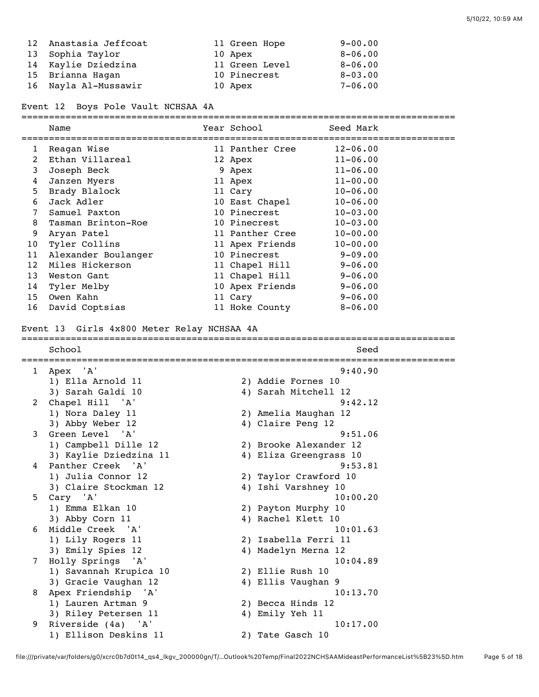| 12 Anastasia Jeffcoat | 11 Green Hope  | $9 - 00.00$ |
|-----------------------|----------------|-------------|
| 13 Sophia Taylor      | 10 Apex        | $8 - 06.00$ |
| 14 Kaylie Dziedzina   | 11 Green Level | $8 - 06.00$ |
| 15 Brianna Hagan      | 10 Pinecrest   | $8 - 03.00$ |
| 16 Nayla Al-Mussawir  | 10 Apex        | $7 - 06.00$ |

Event 12 Boys Pole Vault NCHSAA 4A

===============================================================================

|                 | Name                | Year School     | Seed Mark    |
|-----------------|---------------------|-----------------|--------------|
| 1               | Reagan Wise         | 11 Panther Cree | $12 - 06.00$ |
| 2               | Ethan Villareal     | 12 Apex         | $11 - 06.00$ |
| 3               | Joseph Beck         | 9 Apex          | $11 - 06.00$ |
| 4               | Janzen Myers        | 11 Apex         | $11 - 00.00$ |
| 5               | Brady Blalock       | 11 Cary         | $10 - 06.00$ |
| 6               | Jack Adler          | 10 East Chapel  | $10 - 06.00$ |
| 7               | Samuel Paxton       | 10 Pinecrest    | $10 - 03.00$ |
| 8               | Tasman Brinton-Roe  | 10 Pinecrest    | $10 - 03.00$ |
| 9               | Aryan Patel         | 11 Panther Cree | $10 - 00.00$ |
| 10              | Tyler Collins       | 11 Apex Friends | $10 - 00.00$ |
| 11              | Alexander Boulanger | 10 Pinecrest    | $9 - 09.00$  |
| 12              | Miles Hickerson     | 11 Chapel Hill  | $9 - 06.00$  |
| 13              | Weston Gant         | 11 Chapel Hill  | $9 - 06.00$  |
| 14              | Tyler Melby         | 10 Apex Friends | $9 - 06.00$  |
| 15 <sub>1</sub> | Owen Kahn           | 11 Cary         | $9 - 06.00$  |
| 16              | David Coptsias      | 11 Hoke County  | $8 - 06.00$  |

#### Event 13 Girls 4x800 Meter Relay NCHSAA 4A

=============================================================================== School Seed =============================================================================== 1 Apex 'A' 9:40.90<br>
1) Ella Arnold 11 2) Addie Fornes 10<br>
3) Sarah Galdi 10 4) Sarah Mitchell 12 1) Ella Arnold 11 2) Addie Fornes 10 3) Sarah Galdi 10 4) Sarah Mitchell 12

| 2  | Chapel Hill 'A'        | 9:42.12                |
|----|------------------------|------------------------|
|    | 1) Nora Daley 11       | 2) Amelia Maughan 12   |
|    | 3) Abby Weber 12       | 4) Claire Peng 12      |
| 3  | Green Level 'A'        | 9:51.06                |
|    | 1) Campbell Dille 12   | 2) Brooke Alexander 12 |
|    | 3) Kaylie Dziedzina 11 | 4) Eliza Greengrass 10 |
| 4  | Panther Creek 'A'      | 9:53.81                |
|    | 1) Julia Connor 12     | 2) Taylor Crawford 10  |
|    | 3) Claire Stockman 12  | 4) Ishi Varshney 10    |
| 5. | Cary 'A'               | 10:00.20               |
|    | 1) Emma Elkan 10       | 2) Payton Murphy 10    |
|    | 3) Abby Corn 11        | 4) Rachel Klett 10     |
| 6  | Middle Creek 'A'       | 10:01.63               |
|    | 1) Lily Rogers 11      | 2) Isabella Ferri 11   |
|    | 3) Emily Spies 12      | 4) Madelyn Merna 12    |
| 7  | Holly Springs 'A'      | 10:04.89               |
|    | 1) Savannah Krupica 10 | 2) Ellie Rush 10       |
|    | 3) Gracie Vaughan 12   | 4) Ellis Vaughan 9     |
| 8  | Apex Friendship 'A'    | 10:13.70               |
|    | 1) Lauren Artman 9     | 2) Becca Hinds 12      |
|    | 3) Riley Petersen 11   | 4) Emily Yeh 11        |
| 9  | Riverside (4a) 'A'     | 10:17.00               |
|    | 1) Ellison Deskins 11  | 2) Tate Gasch 10       |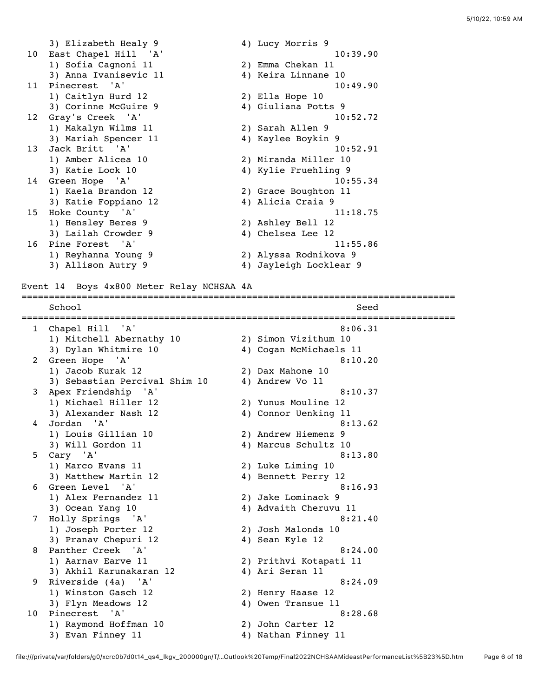3) Elizabeth Healy 9 4) Lucy Morris 9 10 East Chapel Hill 'A' 10:39.90<br>1) Sofia Cagnoni 11 2) Emma Chekan 11 1) Sofia Cagnoni 11 2) Emma Chekan 11 3) Anna Ivanisevic 11 4) Keira Linnane 10 11 Pinecrest 'A' 10:49.90 1) Caitlyn Hurd 12 2) Ella Hope 10 3) Corinne McGuire 9 1992 120 120 4) Giuliana Potts 9 12 Gray's Creek 'A' 10:52.72 1) Makalyn Wilms 11 2) Sarah Allen 9 3) Mariah Spencer 11  $\hskip1cm$  4) Kaylee Boykin 9 13 Jack Britt 'A' 10:52.91 1) Amber Alicea 10 2) Miranda Miller 10 3) Katie Lock 10 4) Kylie Fruehling 9 14 Green Hope 'A' 10:55.34<br>1) Kaela Brandon 12 2) Grace Boughton 11 1) Kaela Brandon 12 2) Grace Boughton 11 3) Katie Foppiano 12 4) Alicia Craia 9 15 Hoke County 'A' 11:18.75 1) Hensley Beres 9 2) Ashley Bell 12 3) Lailah Crowder 9  $\begin{array}{ccc} 4 \end{array}$  Chelsea Lee 12 16 Pine Forest 'A' 11:55.86 1) Reyhanna Young 9 2) Alyssa Rodnikova 9 3) Allison Autry 9 4) Jayleigh Locklear 9 Event 14 Boys 4x800 Meter Relay NCHSAA 4A =============================================================================== School Seed =============================================================================== 1 Chapel Hill 'A' 1) Mitchell Abernathy 10 2) Simon Vizithum 10 3) Dylan Whitmire 10 4) Cogan McMichaels 11 2 Green Hope 'A' 8:10.20 1) Jacob Kurak 12 2) Dax Mahone 10 3) Sebastian Percival Shim 10 4) Andrew Vo 11 3 Apex Friendship 'A' 8:10.37 1) Michael Hiller 12 2) Yunus Mouline 12 3) Alexander Nash 12 4) Connor Uenking 11 4 Jordan 'A' 8:13.62 1) Louis Gillian 10 2) Andrew Hiemenz 9 3) Will Gordon 11 4) Marcus Schultz 10  $5$  Cary 'A' 8:13.80 1) Marco Evans 11 2) Luke Liming 10 3) Matthew Martin 12 1 4) Bennett Perry 12 6 Green Level 'A' 8:16.93 1) Alex Fernandez 11 2) Jake Lominack 9 3) Ocean Yang 10 4) Advaith Cheruvu 11 7 Holly Springs 'A' 8:21.40 1) Joseph Porter 12 2) Josh Malonda 10<br>3) Pranav Chepuri 12 4) Sean Kyle 12 3) Pranav Chepuri 12 8 Panther Creek 'A' 8:24.00<br>
1) Aarnav Earve 11 2) Prithvi Kotapati 11 1) Aarnav Earve 11 2) Prithvi Kotapati 11 3) Akhil Karunakaran 12 4) Ari Seran 11 9 Riverside (4a) 'A' 8:24.09 1) Winston Gasch 12 2) Henry Haase 12 3) Flyn Meadows 12 4) Owen Transue 11 10 Pinecrest 'A' 8:28.68 1) Raymond Hoffman 10 2) John Carter 12 3) Evan Finney 11 1 1 4) Nathan Finney 11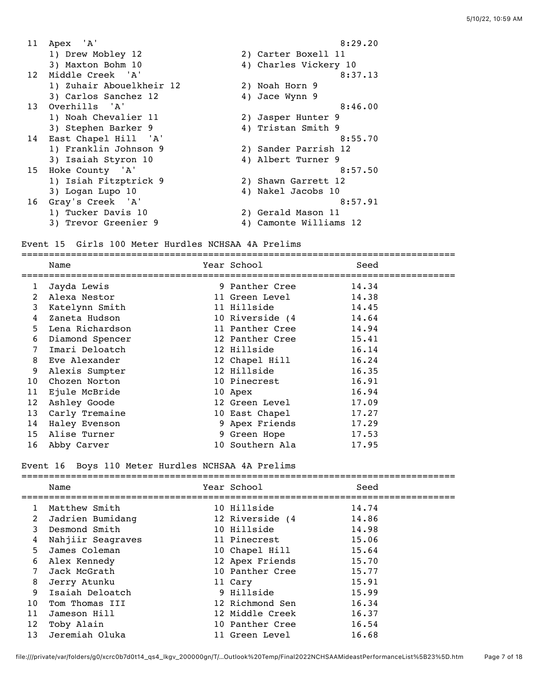| 11 | Apex 'A'                 | 8:29.20                |
|----|--------------------------|------------------------|
|    | 1) Drew Mobley 12        | 2) Carter Boxell 11    |
|    | 3) Maxton Bohm 10        | 4) Charles Vickery 10  |
|    | 12 Middle Creek 'A'      | 8:37.13                |
|    | 1) Zuhair Abouelkheir 12 | 2) Noah Horn 9         |
|    | 3) Carlos Sanchez 12     | 4) Jace Wynn 9         |
|    | 13 Overhills 'A'         | 8:46.00                |
|    | 1) Noah Chevalier 11     | 2) Jasper Hunter 9     |
|    | 3) Stephen Barker 9      | 4) Tristan Smith 9     |
|    | 14 East Chapel Hill 'A'  | 8:55.70                |
|    | 1) Franklin Johnson 9    | 2) Sander Parrish 12   |
|    | 3) Isaiah Styron 10      | 4) Albert Turner 9     |
|    | 15 Hoke County 'A'       | 8:57.50                |
|    | 1) Isiah Fitzptrick 9    | 2) Shawn Garrett 12    |
|    | 3) Logan Lupo 10         | 4) Nakel Jacobs 10     |
| 16 | Gray's Creek 'A'         | 8:57.91                |
|    | 1) Tucker Davis 10       | 2) Gerald Mason 11     |
|    | 3) Trevor Greenier 9     | 4) Camonte Williams 12 |

# Event 15 Girls 100 Meter Hurdles NCHSAA 4A Prelims

|             | Name            | Year School     | Seed  |
|-------------|-----------------|-----------------|-------|
| $\mathbf 1$ | Jayda Lewis     | 9 Panther Cree  | 14.34 |
| 2           | Alexa Nestor    | 11 Green Level  | 14.38 |
| 3           | Katelynn Smith  | 11 Hillside     | 14.45 |
| 4           | Zaneta Hudson   | 10 Riverside (4 | 14.64 |
| 5           | Lena Richardson | 11 Panther Cree | 14.94 |
| 6           | Diamond Spencer | 12 Panther Cree | 15.41 |
| 7           | Imari Deloatch  | 12 Hillside     | 16.14 |
| 8           | Eve Alexander   | 12 Chapel Hill  | 16.24 |
| 9           | Alexis Sumpter  | 12 Hillside     | 16.35 |
| 10          | Chozen Norton   | 10 Pinecrest    | 16.91 |
| 11          | Ejule McBride   | 10 Apex         | 16.94 |
| 12          | Ashley Goode    | 12 Green Level  | 17.09 |
| 13          | Carly Tremaine  | 10 East Chapel  | 17.27 |
| 14          | Haley Evenson   | 9 Apex Friends  | 17.29 |
| 15          | Alise Turner    | 9 Green Hope    | 17.53 |
| 16          | Abby Carver     | 10 Southern Ala | 17.95 |
|             |                 |                 |       |

# Event 16 Boys 110 Meter Hurdles NCHSAA 4A Prelims

|    | Name              | Year School     | Seed  |
|----|-------------------|-----------------|-------|
| 1  | Matthew Smith     | 10 Hillside     | 14.74 |
| 2  | Jadrien Bumidang  | 12 Riverside (4 | 14.86 |
| 3  | Desmond Smith     | 10 Hillside     | 14.98 |
| 4  | Nahjiir Seagraves | 11 Pinecrest    | 15.06 |
| 5  | James Coleman     | 10 Chapel Hill  | 15.64 |
| 6  | Alex Kennedy      | 12 Apex Friends | 15.70 |
| 7  | Jack McGrath      | 10 Panther Cree | 15.77 |
| 8  | Jerry Atunku      | 11 Cary         | 15.91 |
| 9  | Isaiah Deloatch   | 9 Hillside      | 15.99 |
| 10 | Tom Thomas III    | 12 Richmond Sen | 16.34 |
| 11 | Jameson Hill      | 12 Middle Creek | 16.37 |
| 12 | Toby Alain        | 10 Panther Cree | 16.54 |
| 13 | Jeremiah Oluka    | 11 Green Level  | 16.68 |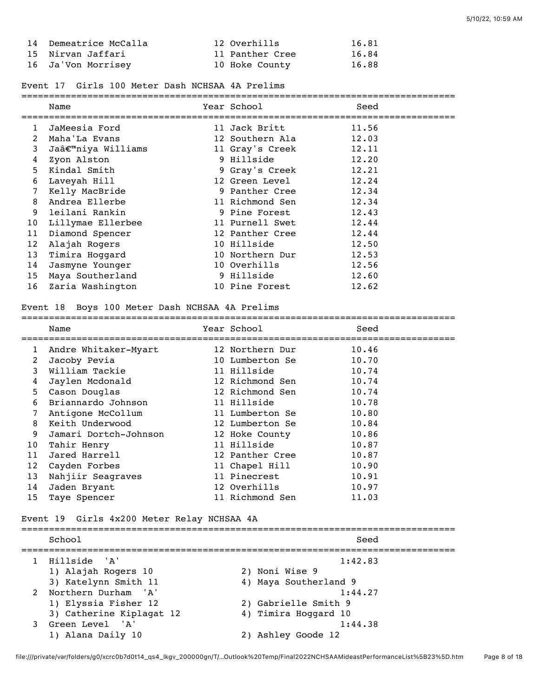| 14 Demeatrice McCalla | 12 Overhills    | 16.81 |
|-----------------------|-----------------|-------|
| 15  Nirvan Jaffari    | 11 Panther Cree | 16.84 |
| 16 Ja'Von Morrisey    | 10 Hoke County  | 16.88 |

#### Event 17 Girls 100 Meter Dash NCHSAA 4A Prelims

|                | Name              | Year School     | Seed  |
|----------------|-------------------|-----------------|-------|
| $\mathbf{1}$   | JaMeesia Ford     | 11 Jack Britt   | 11.56 |
| $\overline{2}$ | Maha'La Evans     | 12 Southern Ala | 12.03 |
| 3              | Ja'niya Williams  | 11 Gray's Creek | 12.11 |
| 4              | Zyon Alston       | 9 Hillside      | 12.20 |
| 5              | Kindal Smith      | 9 Gray's Creek  | 12.21 |
| 6              | Laveyah Hill      | 12 Green Level  | 12.24 |
| 7              | Kelly MacBride    | 9 Panther Cree  | 12.34 |
| 8              | Andrea Ellerbe    | 11 Richmond Sen | 12.34 |
| 9              | leilani Rankin    | 9 Pine Forest   | 12.43 |
| 10             | Lillymae Ellerbee | 11 Purnell Swet | 12.44 |
| 11             | Diamond Spencer   | 12 Panther Cree | 12.44 |
| 12             | Alajah Rogers     | 10 Hillside     | 12.50 |
| 13             | Timira Hoqqard    | 10 Northern Dur | 12.53 |
| 14             | Jasmyne Younger   | 10 Overhills    | 12.56 |
| 15             | Maya Southerland  | 9 Hillside      | 12.60 |
| 16             | Zaria Washington  | 10 Pine Forest  | 12.62 |
|                |                   |                 |       |

#### Event 18 Boys 100 Meter Dash NCHSAA 4A Prelims

|    | Name                  | Year School     | Seed  |
|----|-----------------------|-----------------|-------|
| 1  | Andre Whitaker-Myart  | 12 Northern Dur | 10.46 |
| 2  | Jacoby Pevia          | 10 Lumberton Se | 10.70 |
| 3  | William Tackie        | 11 Hillside     | 10.74 |
| 4  | Jaylen Mcdonald       | 12 Richmond Sen | 10.74 |
| 5  | Cason Douglas         | 12 Richmond Sen | 10.74 |
| 6  | Briannardo Johnson    | 11 Hillside     | 10.78 |
| 7  | Antigone McCollum     | 11 Lumberton Se | 10.80 |
| 8  | Keith Underwood       | 12 Lumberton Se | 10.84 |
| 9  | Jamari Dortch-Johnson | 12 Hoke County  | 10.86 |
| 10 | Tahir Henry           | 11 Hillside     | 10.87 |
| 11 | Jared Harrell         | 12 Panther Cree | 10.87 |
| 12 | Cayden Forbes         | 11 Chapel Hill  | 10.90 |
| 13 | Nahjiir Seagraves     | 11 Pinecrest    | 10.91 |
| 14 | Jaden Bryant          | 12 Overhills    | 10.97 |
| 15 | Taye Spencer          | 11 Richmond Sen | 11.03 |
|    |                       |                 |       |

## Event 19 Girls 4x200 Meter Relay NCHSAA 4A

|               | School                   | Seed                  |
|---------------|--------------------------|-----------------------|
|               | Hillside 'A'             | 1:42.83               |
|               | 1) Alajah Rogers 10      | 2) Noni Wise 9        |
|               | 3) Katelynn Smith 11     | 4) Maya Southerland 9 |
| $\mathcal{L}$ | Northern Durham 'A'      | 1:44.27               |
|               | 1) Elyssia Fisher 12     | 2) Gabrielle Smith 9  |
|               | 3) Catherine Kiplagat 12 | 4) Timira Hoggard 10  |
| 3             | Green Level 'A'          | 1:44.38               |
|               | 1) Alana Daily 10        | 2) Ashley Goode 12    |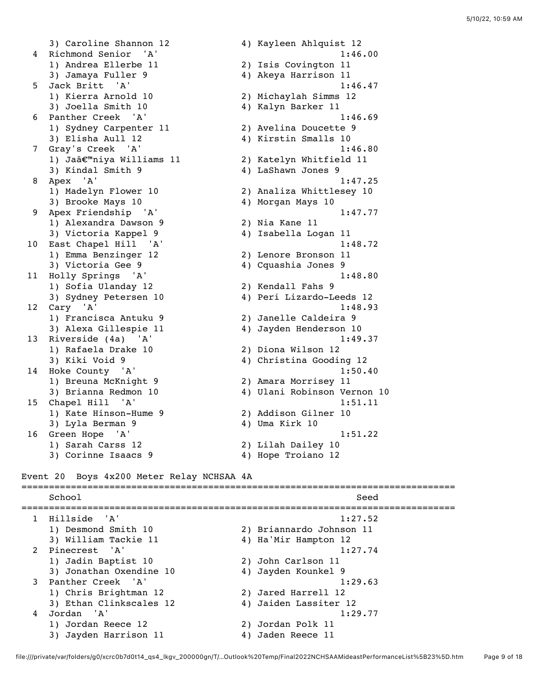3) Caroline Shannon 12 4) Kayleen Ahlquist 12 4 Richmond Senior 'A' 1:46.00 1) Andrea Ellerbe 11 2) Isis Covington 11 3) Jamaya Fuller 9 4) Akeya Harrison 11 5 Jack Britt 'A' 1:46.47 1) Kierra Arnold 10 2) Michaylah Simms 12 3) Joella Smith 10 <a>4) Kalyn Barker 11 6 Panther Creek 'A' 1:46.69 1) Sydney Carpenter 11 2) Avelina Doucette 9 3) Elisha Aull 12 4) Kirstin Smalls 10 7 Gray's Creek 'A' 1:46.80 1) Jaâ€™niya Williams 11 2) Katelyn Whitfield 11 3) Kindal Smith 9 1988 (2011) 4 & Shawn Jones 9 8 Apex 'A' 1:47.25 1) Madelyn Flower 10 2) Analiza Whittlesey 10 1) Madelyn Flower 10 (2) Analiza Whittlesey 10<br>3) Brooke Mays 10 (4) Morgan Mays 10 9 Apex Friendship 'A' 1:47.77<br>1) Alexandra Dawson 9 2) Nia Kane 11 1) Alexandra Dawson 9 3) Victoria Kappel 9 4) Isabella Logan 11 10 East Chapel Hill 'A' 1:48.72 1) Emma Benzinger 12 2) Lenore Bronson 11 3) Victoria Gee 9 12 12 12 13 13 13 13 13 13 13 14 13 14 14 15 16 17 18 18 19 19 1 11 Holly Springs 'A' 1:48.80 1) Sofia Ulanday 12 2) Kendall Fahs 9 3) Sydney Petersen 10 4) Peri Lizardo-Leeds 12 12 Cary 'A' 1:48.93 1) Francisca Antuku 9 2) Janelle Caldeira 9 3) Alexa Gillespie 11 4) Jayden Henderson 10 13 Riverside (4a) 'A' 1:49.37 1) Rafaela Drake 10 2) Diona Wilson 12 3) Kiki Void 9 4) Christina Gooding 12 14 Hoke County 'A' 1:50.40 1) Breuna McKnight 9 2) Amara Morrisey 11 3) Brianna Redmon 10 4) Ulani Robinson Vernon 10 15 Chapel Hill 'A' 1:51.11 1) Kate Hinson-Hume 9 2) Addison Gilner 10 3) Lyla Berman 9 4) Uma Kirk 10 16 Green Hope 'A' 1:51.22 1) Sarah Carss 12 2) Lilah Dailey 10 3) Corinne Isaacs 9 1920 11 4) Hope Troiano 12

#### Event 20 Boys 4x200 Meter Relay NCHSAA 4A

=============================================================================== School Seed =============================================================================== 1 Hillside 'A' 1:27.52 1) Desmond Smith 10 2) Briannardo Johnson 11 3) William Tackie 11 4) Ha'Mir Hampton 12 2 Pinecrest 'A' 1:27.74 1) Jadin Baptist 10 2) John Carlson 11 3) Jonathan Oxendine 10  $\hskip1cm \hskip1cm 4$ ) Jayden Kounkel 9 3 Panther Creek 'A' 1:29.63 1) Chris Brightman 12 2) Jared Harrell 12 3) Ethan Clinkscales 12 4) Jaiden Lassiter 12 4 Jordan 'A' 1:29.77 1) Jordan Reece 12 2) Jordan Polk 11 3) Jayden Harrison 11  $\hskip10mm 4$ ) Jaden Reece 11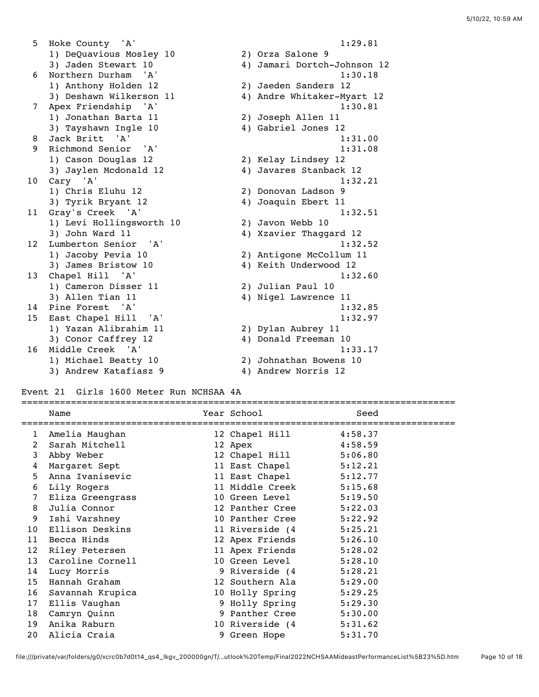5 Hoke County 'A' 1:29.81 1) DeQuavious Mosley 10 2) Orza Salone 9 3) Jaden Stewart 10 4) Jamari Dortch-Johnson 12 6 Northern Durham 'A' 1:30.18 1) Anthony Holden 12 2) Jaeden Sanders 12 3) Deshawn Wilkerson 11 4) Andre Whitaker-Myart 12 7 Apex Friendship 'A' 1:30.81 1) Jonathan Barta 11 2) Joseph Allen 11 3) Tayshawn Ingle 10 4) Gabriel Jones 12 8 Jack Britt 'A' 1:31.00 9 Richmond Senior 'A' 1:31.08 1) Cason Douglas 12 2) Kelay Lindsey 12 3) Jaylen Mcdonald 12 4) Javares Stanback 12 10 Cary 'A' 1:32.21 1) Chris Eluhu 12 2) Donovan Ladson 9 3) Tyrik Bryant 12 4) Joaquin Ebert 11 11 Gray's Creek 'A' 1:32.51<br>1) Levi Hollingsworth 10 2) Javon Webb 10 1) Levi Hollingsworth 10<br>2) John Ward 11 3) John Ward 11 4) Xzavier Thaggard 12 12 Lumberton Senior 'A' 1:32.52 1) Jacoby Pevia 10 2) Antigone McCollum 11 3) James Bristow 10 4) Keith Underwood 12 13 Chapel Hill 'A' 1:32.60<br>1) Cameron Disser 11 2) Julian Paul 10 1) Cameron Disser 11 3) Allen Tian 11 4) Nigel Lawrence 11 14 Pine Forest 'A' 1:32.85 15 East Chapel Hill 'A' 1:32.97 1) Yazan Alibrahim 11 2) Dylan Aubrey 11 3) Conor Caffrey 12 4) Donald Freeman 10 16 Middle Creek 'A' 1:33.17 1) Michael Beatty 10 2) Johnathan Bowens 10 3) Andrew Katafiasz 9  $\hskip1cm \hskip1cm 4$ ) Andrew Norris 12

### Event 21 Girls 1600 Meter Run NCHSAA 4A

|                 | Name             | Year School             | Seed    |
|-----------------|------------------|-------------------------|---------|
| 1               | Amelia Maughan   | 12 Chapel Hill 4:58.37  |         |
| 2               | Sarah Mitchell   | 12 Apex                 | 4:58.59 |
| 3               | Abby Weber       | 12 Chapel Hill 5:06.80  |         |
| 4               | Margaret Sept    | 11 East Chapel 5:12.21  |         |
| 5               | Anna Ivanisevic  | 11 East Chapel 5:12.77  |         |
| 6               | Lily Rogers      | 11 Middle Creek 5:15.68 |         |
| $\overline{7}$  | Eliza Greengrass | 10 Green Level 5:19.50  |         |
| 8               | Julia Connor     | 12 Panther Cree 5:22.03 |         |
| 9               | Ishi Varshney    | 10 Panther Cree 5:22.92 |         |
| 10 <sup>°</sup> | Ellison Deskins  | 11 Riverside (4 5:25.21 |         |
| 11              | Becca Hinds      | 12 Apex Friends 5:26.10 |         |
| 12              | Riley Petersen   | 11 Apex Friends 5:28.02 |         |
| 13              | Caroline Cornell | 10 Green Level 5:28.10  |         |
| 14              | Lucy Morris      | 9 Riverside (4          | 5:28.21 |
| 15              | Hannah Graham    | 12 Southern Ala 5:29.00 |         |
| 16              | Savannah Krupica | 10 Holly Spring         | 5:29.25 |
| 17              | Ellis Vaughan    | 9 Holly Spring          | 5:29.30 |
| 18              | Camryn Quinn     | 9 Panther Cree 5:30.00  |         |
| 19              | Anika Raburn     | 10 Riverside (4 5:31.62 |         |
| 20              | Alicia Craia     | 9 Green Hope            | 5:31.70 |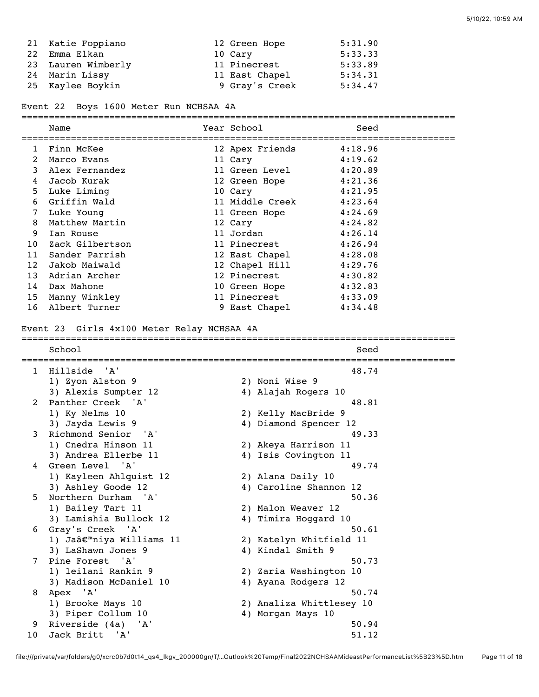| 21 Katie Foppiano  | 12 Green Hope  | 5:31.90 |
|--------------------|----------------|---------|
| 22 Emma Elkan      | 10 Cary        | 5:33.33 |
| 23 Lauren Wimberly | 11 Pinecrest   | 5:33.89 |
| 24 Marin Lissy     | 11 East Chapel | 5:34.31 |
| 25 Kaylee Boykin   | 9 Gray's Creek | 5:34.47 |

Event 22 Boys 1600 Meter Run NCHSAA 4A

|                 | Name            | Year School             | Seed    |  |
|-----------------|-----------------|-------------------------|---------|--|
| $\mathbf{1}$    | Finn McKee      | 12 Apex Friends 4:18.96 |         |  |
| 2               | Marco Evans     | 11 Cary                 | 4:19.62 |  |
| 3               | Alex Fernandez  | 11 Green Level          | 4:20.89 |  |
| 4               | Jacob Kurak     | 12 Green Hope 4:21.36   |         |  |
| 5               | Luke Liming     | 10 Cary                 | 4:21.95 |  |
| 6               | Griffin Wald    | 11 Middle Creek         | 4:23.64 |  |
| 7               | Luke Young      | 11 Green Hope           | 4:24.69 |  |
| 8               | Matthew Martin  | 12 Cary                 | 4:24.82 |  |
| 9               | Ian Rouse       | 11 Jordan               | 4:26.14 |  |
| 10 <sup>°</sup> | Zack Gilbertson | 11 Pinecrest            | 4:26.94 |  |
| 11              | Sander Parrish  | 12 East Chapel          | 4:28.08 |  |
| 12              | Jakob Maiwald   | 12 Chapel Hill          | 4:29.76 |  |
| 13              | Adrian Archer   | 12 Pinecrest            | 4:30.82 |  |
| 14              | Dax Mahone      | 10 Green Hope           | 4:32.83 |  |
| 15              | Manny Winkley   | 11 Pinecrest            | 4:33.09 |  |
| 16              | Albert Turner   | 9 East Chapel           | 4:34.48 |  |

Event 23 Girls 4x100 Meter Relay NCHSAA 4A =============================================================================== School Seed =============================================================================== 1 Hillside 'A' 48.74 1) Zyon Alston 9 2) Noni Wise 9 3) Alexis Sumpter 12 4) Alajah Rogers 10 2 Panther Creek 'A' 48.81 1) Ky Nelms 10 2) Kelly MacBride 9 3) Jayda Lewis 9 4) Diamond Spencer 12 3 Richmond Senior 'A' 49.33 1) Cnedra Hinson 11 2) Akeya Harrison 11 3) Andrea Ellerbe 11 4) Isis Covington 11 4 Green Level 'A' 49.74 1) Kayleen Ahlquist 12 2) Alana Daily 10 3) Ashley Goode 12 4) Caroline Shannon 12 5 Northern Durham 'A' 50.36 1) Bailey Tart 11 2) Malon Weaver 12 3) Lamishia Bullock 12 4) Timira Hoggard 10 6 Gray's Creek 'A' 50.61 1) Jaâ€™niya Williams 11 2) Katelyn Whitfield 11 3) LaShawn Jones 9 4) Kindal Smith 9 7 Pine Forest 'A' 50.73 1) leilani Rankin 9 2) Zaria Washington 10 3) Madison McDaniel 10 4) Ayana Rodgers 12 8 Apex 'A' 50.74 1) Brooke Mays 10 2) Analiza Whittlesey 10

3) Piper Collum 10 4) Morgan Mays 10 9 Riverside (4a) 'A' 50.94 10 Jack Britt 'A' 51.12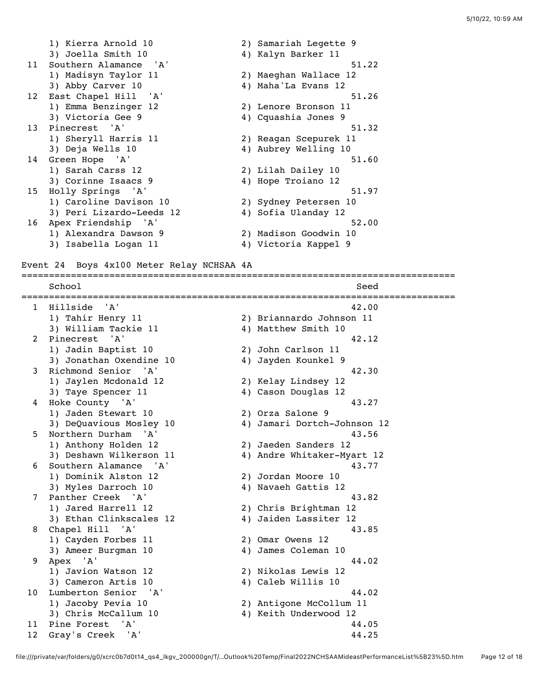1) Kierra Arnold 10 2) Samariah Legette 9 3) Joella Smith 10 4) Kalyn Barker 11 11 Southern Alamance 'A' 51.22 1) Madisyn Taylor 11 2) Maeghan Wallace 12 3) Abby Carver 10 4) Maha'La Evans 12 12 East Chapel Hill 'A' 51.26 1) Emma Benzinger 12 2) Lenore Bronson 11 3) Victoria Gee 9 12 12 12 13 13 13 13 13 13 13 14 13 14 14 15 16 17 18 18 19 19 1 13 Pinecrest 'A' 51.32 1) Sheryll Harris 11 2) Reagan Scepurek 11 3) Deja Wells 10 4) Aubrey Welling 10 14 Green Hope 'A' 51.60 1) Sarah Carss 12 2) Lilah Dailey 10 3) Corinne Isaacs 9 1920 11 4) Hope Troiano 12 15 Holly Springs 'A' 51.97 1) Caroline Davison 10 2) Sydney Petersen 10 3) Peri Lizardo-Leeds 12 4) Sofia Ulanday 12 16 Apex Friendship 'A' 52.00 1) Alexandra Dawson 9 2) Madison Goodwin 10 3) Isabella Logan 11 4) Victoria Kappel 9

Event 24 Boys 4x100 Meter Relay NCHSAA 4A

=============================================================================== School Seed =============================================================================== 1 Hillside 'A' 42.00 1) Tahir Henry 11 2) Briannardo Johnson 11 3) William Tackie 11 1 4) Matthew Smith 10 2 Pinecrest 'A' 42.12 1) Jadin Baptist 10 2) John Carlson 11 3) Jonathan Oxendine 10  $\hskip1cm \hskip1cm 4$ ) Jayden Kounkel 9 3 Richmond Senior 'A' 42.30<br>1) Jaylen Mcdonald 12 42.30<br>2) Kelay Lindsey 12 1) Jaylen Mcdonald 12 2) Kelay Lindsey 12 3) Taye Spencer 11 1 4) Cason Douglas 12 4 Hoke County 'A' 43.27<br>
1) Jaden Stewart 10 2) Orza Salone 9 1) Jaden Stewart 10 2) Orza Salone 9 3) DeQuavious Mosley 10 4) Jamari Dortch-Johnson 12 5 Northern Durham 'A' 43.56 1) Anthony Holden 12 2) Jaeden Sanders 12 3) Deshawn Wilkerson 11 4) Andre Whitaker-Myart 12 6 Southern Alamance 'A' 43.77 1) Dominik Alston 12 2) Jordan Moore 10 3) Myles Darroch 10  $\hskip1cm$  4) Navaeh Gattis 12 7 Panther Creek 'A' 43.82 1) Jared Harrell 12 2) Chris Brightman 12 3) Ethan Clinkscales 12 4) Jaiden Lassiter 12 3) Ethan Clinkscales 12 (2012) (2013) 4 Stephen Clinkscales 12 (31.85 Apr 2015)<br>43.85 A 43.85 1) Cayden Forbes 11 2) Omar Owens 12 3) Ameer Burgman 10 4) James Coleman 10 9 Apex 'A' 44.02 1) Javion Watson 12 2) Nikolas Lewis 12 3) Cameron Artis 10 (4) Caleb Willis 10 10 Lumberton Senior 'A' 44.02 1) Jacoby Pevia 10 2) Antigone McCollum 11 3) Chris McCallum 10 4) Keith Underwood 12 11 Pine Forest 'A' 44.05 12 Gray's Creek 'A' 44.25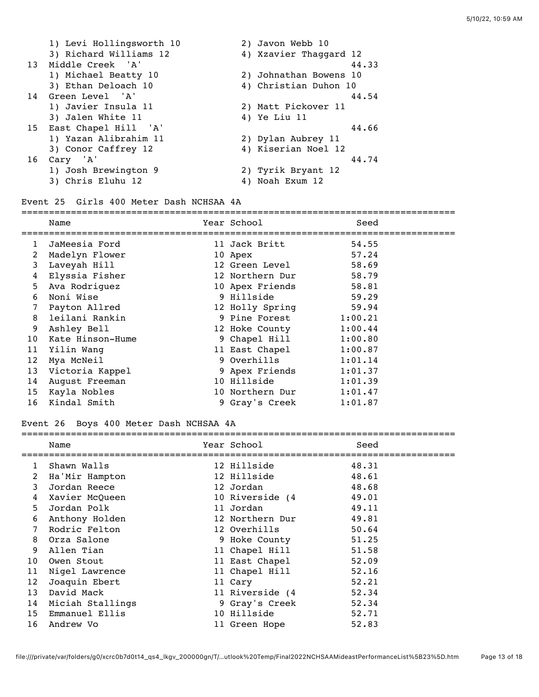|    | 1) Levi Hollingsworth 10 |    | 2) Javon Webb 10       |
|----|--------------------------|----|------------------------|
|    | 3) Richard Williams 12   |    | 4) Xzavier Thaggard 12 |
|    | 13 Middle Creek 'A'      |    | 44.33                  |
|    | 1) Michael Beatty 10     |    | 2) Johnathan Bowens 10 |
|    | 3) Ethan Deloach 10      |    | 4) Christian Duhon 10  |
|    | 14 Green Level 'A'       |    | 44.54                  |
|    | 1) Javier Insula 11      |    | 2) Matt Pickover 11    |
|    | 3) Jalen White 11        |    | 4) Ye Liu 11           |
|    | 15 East Chapel Hill 'A'  |    | 44.66                  |
|    | 1) Yazan Alibrahim 11    |    | 2) Dylan Aubrey 11     |
|    | 3) Conor Caffrey 12      |    | 4) Kiserian Noel 12    |
| 16 | Cary 'A'                 |    | 44.74                  |
|    | 1) Josh Brewington 9     |    | 2) Tyrik Bryant 12     |
|    | 3) Chris Eluhu 12        | 4) | Noah Exum 12           |

#### Event 25 Girls 400 Meter Dash NCHSAA 4A

# ===============================================================================

|    | Name             | Year School     | Seed    |
|----|------------------|-----------------|---------|
| 1  | JaMeesia Ford    | 11 Jack Britt   | 54.55   |
| 2  | Madelyn Flower   | 10 Apex         | 57.24   |
| 3  | Laveyah Hill     | 12 Green Level  | 58.69   |
| 4  | Elyssia Fisher   | 12 Northern Dur | 58.79   |
| 5  | Ava Rodriguez    | 10 Apex Friends | 58.81   |
| 6  | Noni Wise        | 9 Hillside      | 59.29   |
| 7  | Payton Allred    | 12 Holly Spring | 59.94   |
| 8  | leilani Rankin   | 9 Pine Forest   | 1:00.21 |
| 9  | Ashley Bell      | 12 Hoke County  | 1:00.44 |
| 10 | Kate Hinson-Hume | 9 Chapel Hill   | 1:00.80 |
| 11 | Yilin Wang       | 11 East Chapel  | 1:00.87 |
| 12 | Mya McNeil       | 9 Overhills     | 1:01.14 |
| 13 | Victoria Kappel  | 9 Apex Friends  | 1:01.37 |
| 14 | August Freeman   | 10 Hillside     | 1:01.39 |
| 15 | Kayla Nobles     | 10 Northern Dur | 1:01.47 |
| 16 | Kindal Smith     | 9 Gray's Creek  | 1:01.87 |

## Event 26 Boys 400 Meter Dash NCHSAA 4A

|                 | Name             | Year School     | Seed  |
|-----------------|------------------|-----------------|-------|
| 1               | Shawn Walls      | 12 Hillside     | 48.31 |
| 2               | Ha'Mir Hampton   | 12 Hillside     | 48.61 |
| 3               | Jordan Reece     | 12 Jordan       | 48.68 |
| 4               | Xavier McOueen   | 10 Riverside (4 | 49.01 |
| 5               | Jordan Polk      | 11 Jordan       | 49.11 |
| 6               | Anthony Holden   | 12 Northern Dur | 49.81 |
| 7               | Rodric Felton    | 12 Overhills    | 50.64 |
| 8               | Orza Salone      | 9 Hoke County   | 51.25 |
| 9               | Allen Tian       | 11 Chapel Hill  | 51.58 |
| 10 <sup>°</sup> | Owen Stout       | 11 East Chapel  | 52.09 |
| 11              | Nigel Lawrence   | 11 Chapel Hill  | 52.16 |
| 12              | Joaquin Ebert    | 11 Cary         | 52.21 |
| 13              | David Mack       | 11 Riverside (4 | 52.34 |
| 14              | Miciah Stallings | 9 Gray's Creek  | 52.34 |
| 15              | Emmanuel Ellis   | 10 Hillside     | 52.71 |
| 16              | Andrew Vo        | 11 Green Hope   | 52.83 |
|                 |                  |                 |       |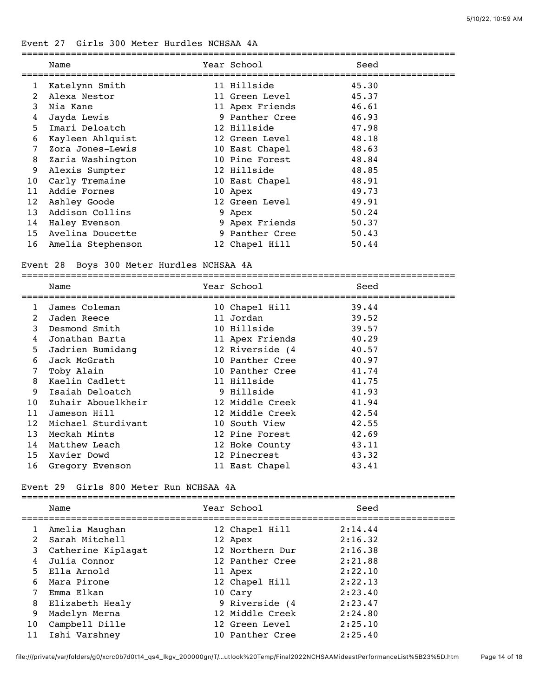## Event 27 Girls 300 Meter Hurdles NCHSAA 4A

|    | Name              | Year School     | Seed  |
|----|-------------------|-----------------|-------|
| ı  | Katelynn Smith    | 11 Hillside     | 45.30 |
| 2  | Alexa Nestor      | 11 Green Level  | 45.37 |
| 3  | Nia Kane          | 11 Apex Friends | 46.61 |
| 4  | Jayda Lewis       | 9 Panther Cree  | 46.93 |
| 5  | Imari Deloatch    | 12 Hillside     | 47.98 |
| 6  | Kayleen Ahlquist  | 12 Green Level  | 48.18 |
| 7  | Zora Jones-Lewis  | 10 East Chapel  | 48.63 |
| 8  | Zaria Washington  | 10 Pine Forest  | 48.84 |
| 9  | Alexis Sumpter    | 12 Hillside     | 48.85 |
| 10 | Carly Tremaine    | 10 East Chapel  | 48.91 |
| 11 | Addie Fornes      | 10 Apex         | 49.73 |
| 12 | Ashley Goode      | 12 Green Level  | 49.91 |
| 13 | Addison Collins   | 9 Apex          | 50.24 |
| 14 | Haley Evenson     | 9 Apex Friends  | 50.37 |
| 15 | Avelina Doucette  | 9 Panther Cree  | 50.43 |
| 16 | Amelia Stephenson | 12 Chapel Hill  | 50.44 |

## Event 28 Boys 300 Meter Hurdles NCHSAA 4A

|                   | Name<br>================================ | Year School                                                 | Seed  |
|-------------------|------------------------------------------|-------------------------------------------------------------|-------|
|                   | James Coleman                            | ================================<br>10 Chapel Hill<br>39.44 |       |
| 2                 | Jaden Reece                              | 11 Jordan                                                   | 39.52 |
| 3                 | Desmond Smith                            | 10 Hillside                                                 | 39.57 |
| 4                 | Jonathan Barta                           | 11 Apex Friends                                             | 40.29 |
| 5                 | Jadrien Bumidang                         | 12 Riverside (4                                             | 40.57 |
| 6                 | Jack McGrath                             | 10 Panther Cree                                             | 40.97 |
| 7                 | Toby Alain                               | 10 Panther Cree                                             | 41.74 |
| 8                 | Kaelin Cadlett                           | 11 Hillside                                                 | 41.75 |
| 9                 | Isaiah Deloatch                          | 9 Hillside                                                  | 41.93 |
| 10 <sup>°</sup>   | Zuhair Abouelkheir                       | 12 Middle Creek                                             | 41.94 |
| 11                | Jameson Hill                             | 12 Middle Creek                                             | 42.54 |
| $12 \overline{ }$ | Michael Sturdivant                       | 10 South View                                               | 42.55 |
| 13                | Meckah Mints                             | 12 Pine Forest                                              | 42.69 |
| 14                | Matthew Leach                            | 12 Hoke County                                              | 43.11 |
| 15                | Xavier Dowd                              | 12 Pinecrest                                                | 43.32 |
| 16                | Gregory Evenson                          | 11 East Chapel                                              | 43.41 |
|                   |                                          |                                                             |       |

## Event 29 Girls 800 Meter Run NCHSAA 4A

|                | Name               | Year School     | Seed    |
|----------------|--------------------|-----------------|---------|
|                | Amelia Maughan     | 12 Chapel Hill  | 2:14.44 |
| $\overline{2}$ | Sarah Mitchell     | 12 Apex         | 2:16.32 |
| 3              | Catherine Kiplagat | 12 Northern Dur | 2:16.38 |
| 4              | Julia Connor       | 12 Panther Cree | 2:21.88 |
| 5              | Ella Arnold        | 11 Apex         | 2:22.10 |
| 6              | Mara Pirone        | 12 Chapel Hill  | 2:22.13 |
|                | Emma Elkan         | 10 Cary         | 2:23.40 |
| 8              | Elizabeth Healy    | 9 Riverside (4  | 2:23.47 |
| 9              | Madelyn Merna      | 12 Middle Creek | 2:24.80 |
| 10             | Campbell Dille     | 12 Green Level  | 2:25.10 |
| 11             | Ishi Varshney      | 10 Panther Cree | 2:25.40 |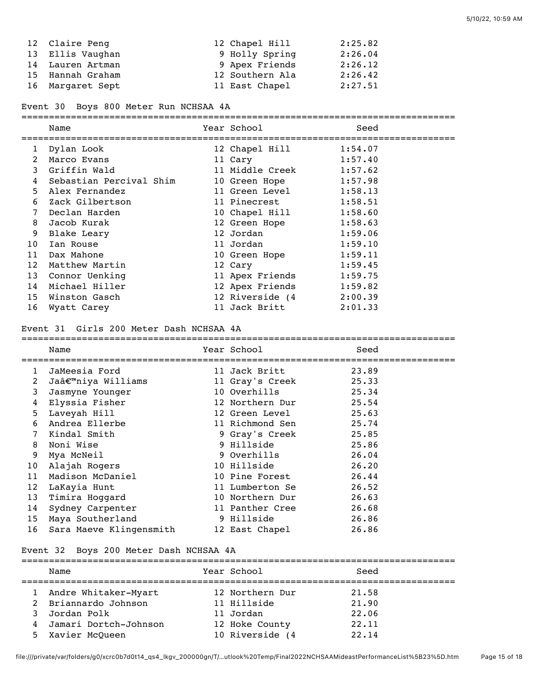| 12 Claire Peng   | 12 Chapel Hill  | 2:25.82 |
|------------------|-----------------|---------|
| 13 Ellis Vaughan | 9 Holly Spring  | 2:26.04 |
| 14 Lauren Artman | 9 Apex Friends  | 2:26.12 |
| 15 Hannah Graham | 12 Southern Ala | 2:26.42 |
| 16 Margaret Sept | 11 East Chapel  | 2:27.51 |

Event 30 Boys 800 Meter Run NCHSAA 4A

|                 | Name                    | Year School             | Seed    |
|-----------------|-------------------------|-------------------------|---------|
| 1               | Dylan Look              | 12 Chapel Hill          | 1:54.07 |
| 2               | Marco Evans             | 11 Cary                 | 1:57.40 |
| 3               | Griffin Wald            | 11 Middle Creek         | 1:57.62 |
| 4               | Sebastian Percival Shim | 10 Green Hope           | 1:57.98 |
| 5               | Alex Fernandez          | 11 Green Level          | 1:58.13 |
| 6               | Zack Gilbertson         | 11 Pinecrest            | 1:58.51 |
| 7               | Declan Harden           | 10 Chapel Hill          | 1:58.60 |
| 8               | Jacob Kurak             | 12 Green Hope           | 1:58.63 |
| 9               | Blake Leary             | 12 Jordan               | 1:59.06 |
| 10              | Ian Rouse               | 11 Jordan               | 1:59.10 |
| 11              | Dax Mahone              | 10 Green Hope           | 1:59.11 |
| 12              | Matthew Martin          | 12 Cary                 | 1:59.45 |
| 13              | Connor Uenking          | 11 Apex Friends         | 1:59.75 |
| 14              | Michael Hiller          | 12 Apex Friends 1:59.82 |         |
| 15 <sub>1</sub> | Winston Gasch           | 12 Riverside (4 2:00.39 |         |
| 16              | Wyatt Carey             | 11 Jack Britt           | 2:01.33 |

#### Event 31 Girls 200 Meter Dash NCHSAA 4A

|                | Name                    | Year School     | Seed  |
|----------------|-------------------------|-----------------|-------|
| 1              | JaMeesia Ford           | 11 Jack Britt   | 23.89 |
| $\overline{2}$ | Ja'niya Williams        | 11 Gray's Creek | 25.33 |
| 3              | Jasmyne Younger         | 10 Overhills    | 25.34 |
| 4              | Elyssia Fisher          | 12 Northern Dur | 25.54 |
| 5              | Laveyah Hill            | 12 Green Level  | 25.63 |
| 6              | Andrea Ellerbe          | 11 Richmond Sen | 25.74 |
| 7              | Kindal Smith            | 9 Gray's Creek  | 25.85 |
| 8              | Noni Wise               | 9 Hillside      | 25.86 |
| 9              | Mya McNeil              | 9 Overhills     | 26.04 |
| 10             | Alajah Rogers           | 10 Hillside     | 26.20 |
| 11             | Madison McDaniel        | 10 Pine Forest  | 26.44 |
| 12             | LaKayia Hunt            | 11 Lumberton Se | 26.52 |
| 13             | Timira Hoggard          | 10 Northern Dur | 26.63 |
| 14             | Sydney Carpenter        | 11 Panther Cree | 26.68 |
| 15             | Maya Southerland        | 9 Hillside      | 26.86 |
| 16             | Sara Maeve Klingensmith | 12 East Chapel  | 26.86 |

===============================================================================

#### Event 32 Boys 200 Meter Dash NCHSAA 4A

|               | Name                  | Year School     | Seed  |  |
|---------------|-----------------------|-----------------|-------|--|
|               | Andre Whitaker-Myart  | 12 Northern Dur | 21.58 |  |
| $\mathcal{L}$ | Briannardo Johnson    | 11 Hillside     | 21.90 |  |
|               | Jordan Polk           | 11 Jordan       | 22.06 |  |
| 4             | Jamari Dortch-Johnson | 12 Hoke County  | 22.11 |  |
| 5.            | Xavier McQueen        | 10 Riverside (4 | 22.14 |  |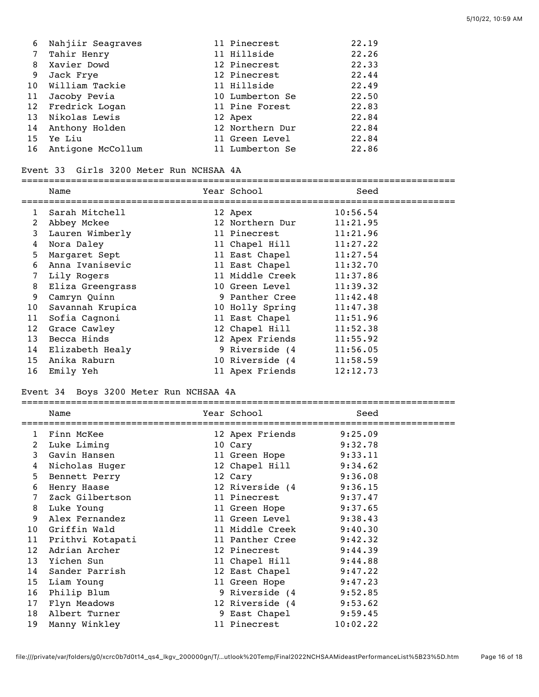| 6  | Nahjiir Seagraves    | 11 Pinecrest    | 22.19 |
|----|----------------------|-----------------|-------|
| 7  | Tahir Henry          | 11 Hillside     | 22.26 |
| 8  | Xavier Dowd          | 12 Pinecrest    | 22.33 |
| 9  | Jack Frye            | 12 Pinecrest    | 22.44 |
|    | 10 William Tackie    | 11 Hillside     | 22.49 |
| 11 | Jacoby Pevia         | 10 Lumberton Se | 22.50 |
|    | 12 Fredrick Logan    | 11 Pine Forest  | 22.83 |
| 13 | Nikolas Lewis        | 12 Apex         | 22.84 |
| 14 | Anthony Holden       | 12 Northern Dur | 22.84 |
| 15 | Ye Liu               | 11 Green Level  | 22.84 |
|    | 16 Antigone McCollum | 11 Lumberton Se | 22.86 |

#### Event 33 Girls 3200 Meter Run NCHSAA 4A

#### ===============================================================================

|                 | Name               | Year School     | Seed     |
|-----------------|--------------------|-----------------|----------|
| 1               | Sarah Mitchell     | 12 Apex         | 10:56.54 |
| 2               | Abbey Mckee        | 12 Northern Dur | 11:21.95 |
| 3               | Lauren Wimberly    | 11 Pinecrest    | 11:21.96 |
| 4               | Nora Daley         | 11 Chapel Hill  | 11:27.22 |
| 5               | Margaret Sept      | 11 East Chapel  | 11:27.54 |
| 6               | Anna Ivanisevic    | 11 East Chapel  | 11:32.70 |
| 7               | Lily Rogers        | 11 Middle Creek | 11:37.86 |
| 8               | Eliza Greengrass   | 10 Green Level  | 11:39.32 |
| 9               | Camryn Quinn       | 9 Panther Cree  | 11:42.48 |
| 10              | Savannah Krupica   | 10 Holly Spring | 11:47.38 |
| 11              | Sofia Cagnoni      | 11 East Chapel  | 11:51.96 |
| 12              | Grace Cawley       | 12 Chapel Hill  | 11:52.38 |
| 13              | Becca Hinds        | 12 Apex Friends | 11:55.92 |
|                 | 14 Elizabeth Healy | 9 Riverside (4  | 11:56.05 |
| 15 <sub>1</sub> | Anika Raburn       | 10 Riverside (4 | 11:58.59 |
| 16              | Emily Yeh          | 11 Apex Friends | 12:12.73 |

## Event 34 Boys 3200 Meter Run NCHSAA 4A

| LVENC 34 DOYS 3200 MELEI RUN NCHSAA 4A |                  |  |                        |          |
|----------------------------------------|------------------|--|------------------------|----------|
|                                        | Name             |  | Year School            | Seed     |
| $\mathbf{1}$                           | Finn McKee       |  | 12 Apex Friends        | 9:25.09  |
| 2                                      | Luke Liming      |  | 10 Cary                | 9:32.78  |
| 3                                      | Gavin Hansen     |  | 11 Green Hope          | 9:33.11  |
| 4                                      | Nicholas Huger   |  | 12 Chapel Hill         | 9:34.62  |
| 5                                      | Bennett Perry    |  | 12 Cary                | 9:36.08  |
| 6                                      | Henry Haase      |  | 12 Riverside (4        | 9:36.15  |
| 7                                      | Zack Gilbertson  |  | 11 Pinecrest           | 9:37.47  |
| 8                                      | Luke Young       |  | 11 Green Hope 9:37.65  |          |
| 9                                      | Alex Fernandez   |  | 11 Green Level         | 9:38.43  |
| 10 <sup>°</sup>                        | Griffin Wald     |  | 11 Middle Creek        | 9:40.30  |
| 11                                     | Prithvi Kotapati |  | 11 Panther Cree        | 9:42.32  |
| 12                                     | Adrian Archer    |  | 12 Pinecrest           | 9:44.39  |
| 13                                     | Yichen Sun       |  | 11 Chapel Hill         | 9:44.88  |
| 14                                     | Sander Parrish   |  | 12 East Chapel 9:47.22 |          |
| 15 <sub>1</sub>                        | Liam Young       |  | 11 Green Hope          | 9:47.23  |
| 16                                     | Philip Blum      |  | 9 Riverside (4         | 9:52.85  |
| 17                                     | Flyn Meadows     |  | 12 Riverside (4        | 9:53.62  |
| 18                                     | Albert Turner    |  | 9 East Chapel          | 9:59.45  |
| 19                                     | Manny Winkley    |  | 11 Pinecrest           | 10:02.22 |
|                                        |                  |  |                        |          |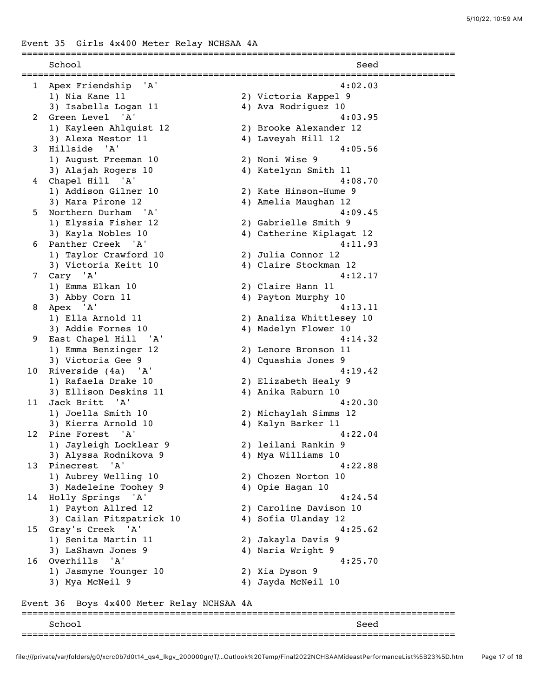Event 35 Girls 4x400 Meter Relay NCHSAA 4A

|              | School                                  | Seed                          |  |
|--------------|-----------------------------------------|-------------------------------|--|
| $\mathbf{1}$ | 'A'<br>Apex Friendship                  | 4:02.03                       |  |
|              | 1) Nia Kane 11                          | 2) Victoria Kappel 9          |  |
|              | 3) Isabella Logan 11                    | 4) Ava Rodriguez 10           |  |
| 2            | Green Level 'A'                         | 4:03.95                       |  |
|              | 1) Kayleen Ahlquist 12                  | 2) Brooke Alexander 12        |  |
|              | 3) Alexa Nestor 11                      | 4) Laveyah Hill 12            |  |
| 3            | Hillside 'A'                            | 4:05.56                       |  |
|              | 1) August Freeman 10                    | 2) Noni Wise 9                |  |
|              | 3) Alajah Rogers 10                     | 4) Katelynn Smith 11          |  |
| 4            | Chapel Hill 'A'                         | 4:08.70                       |  |
|              | 1) Addison Gilner 10                    | 2) Kate Hinson-Hume 9         |  |
|              | 3) Mara Pirone 12                       | 4) Amelia Maughan 12          |  |
| 5            | Northern Durham 'A'                     | 4:09.45                       |  |
|              | 1) Elyssia Fisher 12                    | 2) Gabrielle Smith 9          |  |
|              | 3) Kayla Nobles 10                      | 4) Catherine Kiplagat 12      |  |
| 6            | Panther Creek 'A'                       | 4:11.93                       |  |
|              | 1) Taylor Crawford 10                   | 2) Julia Connor 12            |  |
|              | 3) Victoria Keitt 10                    | 4) Claire Stockman 12         |  |
| 7            | Cary 'A'                                | 4:12.17                       |  |
|              | 1) Emma Elkan 10                        | 2) Claire Hann 11             |  |
|              | 3) Abby Corn 11                         | 4) Payton Murphy 10           |  |
| 8            | Apex 'A'                                | 4:13.11                       |  |
|              | 1) Ella Arnold 11                       | 2) Analiza Whittlesey 10      |  |
|              | 3) Addie Fornes 10                      | 4) Madelyn Flower 10          |  |
| 9            | East Chapel Hill 'A'                    | 4:14.32                       |  |
|              | 1) Emma Benzinger 12                    | 2) Lenore Bronson 11          |  |
|              | 3) Victoria Gee 9                       | 4) Cquashia Jones 9           |  |
| 10           | Riverside (4a) 'A'                      | 4:19.42                       |  |
|              | 1) Rafaela Drake 10                     | 2) Elizabeth Healy 9          |  |
| 11           | 3) Ellison Deskins 11<br>Jack Britt 'A' | 4) Anika Raburn 10<br>4:20.30 |  |
|              | 1) Joella Smith 10                      | 2) Michaylah Simms 12         |  |
|              | 3) Kierra Arnold 10                     | 4) Kalyn Barker 11            |  |
| 12           | Pine Forest 'A'                         | 4:22.04                       |  |
|              | 1) Jayleigh Locklear 9                  | 2) leilani Rankin 9           |  |
|              | 3) Alyssa Rodnikova 9                   | 4) Mya Williams 10            |  |
| 13           | Pinecrest<br>'A'                        | 4:22.88                       |  |
|              | 1) Aubrey Welling 10                    | 2) Chozen Norton 10           |  |
|              | 3) Madeleine Toohey 9                   | 4) Opie Hagan 10              |  |
| 14           | Holly Springs<br>' A '                  | 4:24.54                       |  |
|              | 1) Payton Allred 12                     | 2) Caroline Davison 10        |  |
|              | 3) Cailan Fitzpatrick 10                | 4) Sofia Ulanday 12           |  |
| 15           | Gray's Creek 'A'                        | 4:25.62                       |  |
|              | 1) Senita Martin 11                     | 2) Jakayla Davis 9            |  |
|              | 3) LaShawn Jones 9                      | 4) Naria Wright 9             |  |
| 16           | 'A'<br>Overhills                        | 4:25.70                       |  |
|              | 1) Jasmyne Younger 10                   | 2) Xia Dyson 9                |  |
|              | 3) Mya McNeil 9                         | 4) Jayda McNeil 10            |  |
|              |                                         |                               |  |

# Event 36 Boys 4x400 Meter Relay NCHSAA 4A

| Seec                             |
|----------------------------------|
| -------------------------------- |